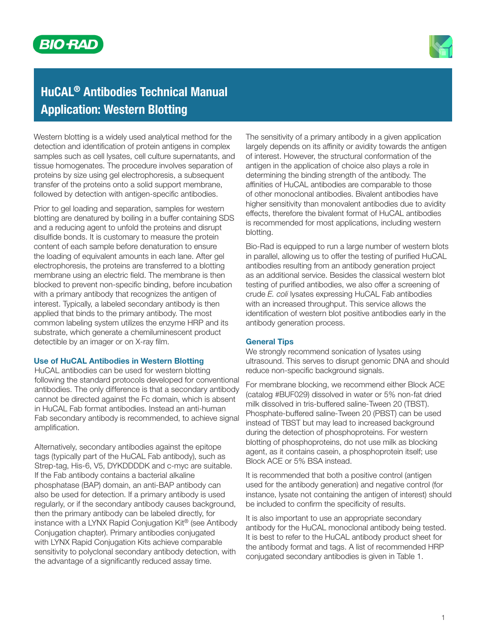



# HuCAL® Antibodies Technical Manual Application: Western Blotting

Western blotting is a widely used analytical method for the detection and identification of protein antigens in complex samples such as cell lysates, cell culture supernatants, and tissue homogenates. The procedure involves separation of proteins by size using gel electrophoresis, a subsequent transfer of the proteins onto a solid support membrane, followed by detection with antigen-specific antibodies.

Prior to gel loading and separation, samples for western blotting are denatured by boiling in a buffer containing SDS and a reducing agent to unfold the proteins and disrupt disulfide bonds. It is customary to measure the protein content of each sample before denaturation to ensure the loading of equivalent amounts in each lane. After gel electrophoresis, the proteins are transferred to a blotting membrane using an electric field. The membrane is then blocked to prevent non-specific binding, before incubation with a primary antibody that recognizes the antigen of interest. Typically, a labeled secondary antibody is then applied that binds to the primary antibody. The most common labeling system utilizes the enzyme HRP and its substrate, which generate a chemiluminescent product detectible by an imager or on X-ray film.

## Use of HuCAL Antibodies in Western Blotting

HuCAL antibodies can be used for western blotting following the standard protocols developed for conventional antibodies. The only difference is that a secondary antibody cannot be directed against the Fc domain, which is absent in HuCAL Fab format antibodies. Instead an anti-human Fab secondary antibody is recommended, to achieve signal amplification.

Alternatively, secondary antibodies against the epitope tags (typically part of the HuCAL Fab antibody), such as Strep-tag, His-6, V5, DYKDDDDK and c-myc are suitable. If the Fab antibody contains a bacterial alkaline phosphatase (BAP) domain, an anti-BAP antibody can also be used for detection. If a primary antibody is used regularly, or if the secondary antibody causes background, then the primary antibody can be labeled directly, for instance with a LYNX Rapid Conjugation Kit® (see Antibody Conjugation chapter). Primary antibodies conjugated with LYNX Rapid Conjugation Kits achieve comparable sensitivity to polyclonal secondary antibody detection, with the advantage of a significantly reduced assay time.

The sensitivity of a primary antibody in a given application largely depends on its affinity or avidity towards the antigen of interest. However, the structural conformation of the antigen in the application of choice also plays a role in determining the binding strength of the antibody. The affinities of HuCAL antibodies are comparable to those of other monoclonal antibodies. Bivalent antibodies have higher sensitivity than monovalent antibodies due to avidity effects, therefore the bivalent format of HuCAL antibodies is recommended for most applications, including western blotting.

Bio-Rad is equipped to run a large number of western blots in parallel, allowing us to offer the testing of purified HuCAL antibodies resulting from an antibody generation project as an additional service. Besides the classical western blot testing of purified antibodies, we also offer a screening of crude *E. coli* lysates expressing HuCAL Fab antibodies with an increased throughput. This service allows the identification of western blot positive antibodies early in the antibody generation process.

#### General Tips

We strongly recommend sonication of lysates using ultrasound. This serves to disrupt genomic DNA and should reduce non-specific background signals.

For membrane blocking, we recommend either Block ACE (catalog #BUF029) dissolved in water or 5% non-fat dried milk dissolved in tris-buffered saline-Tween 20 (TBST). Phosphate-buffered saline-Tween 20 (PBST) can be used instead of TBST but may lead to increased background during the detection of phosphoproteins. For western blotting of phosphoproteins, do not use milk as blocking agent, as it contains casein, a phosphoprotein itself; use Block ACE or 5% BSA instead.

It is recommended that both a positive control (antigen used for the antibody generation) and negative control (for instance, lysate not containing the antigen of interest) should be included to confirm the specificity of results.

It is also important to use an appropriate secondary antibody for the HuCAL monoclonal antibody being tested. It is best to refer to the HuCAL antibody product sheet for the antibody format and tags. A list of recommended HRP conjugated secondary antibodies is given in Table 1.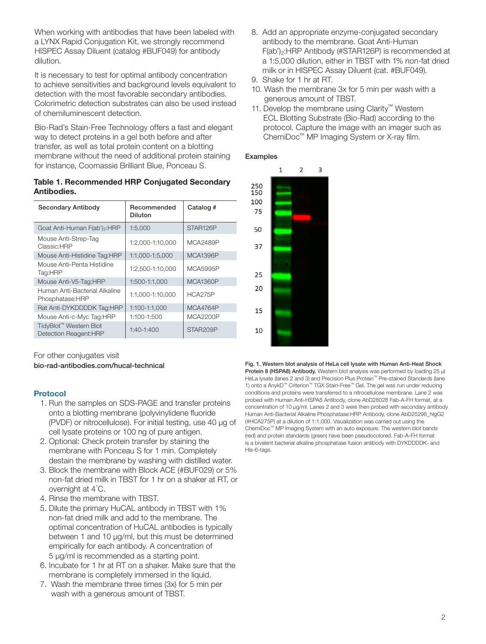When working with antibodies that have been labeled with a LYNX Rapid Conjugation Kit, we strongly recommend HISPEC Assay Diluent (catalog #BUF049) for antibody dilution.

It is necessary to test for optimal antibody concentration to achieve sensitivities and background levels equivalent to detection with the most favorable secondary antibodies. Colorimetric detection substrates can also be used instead of chemiluminescent detection.

Bio-Rad's Stain-Free Technology offers a fast and elegant way to detect proteins in a gel both before and after transfer, as well as total protein content on a blotting membrane without the need of additional protein staining for instance, Coomassie Brilliant Blue, Ponceau S.

## Table 1. Recommended HRP Conjugated Secondary Antibodies.

| <b>Secondary Antibody</b>                                    | Recommended<br><b>Diluton</b> | Catalog #       |
|--------------------------------------------------------------|-------------------------------|-----------------|
| Goat Anti-Human F(ab') <sub>2</sub> :HRP                     | 1:5,000                       | STAR126P        |
| Mouse Anti-Strep-Tag<br>Classic:HRP                          | 1:2,000-1:10,000              | <b>MCA2489P</b> |
| Mouse Anti-Histidine Tag:HRP                                 | 1:1,000-1:5,000               | MCA1396P        |
| Mouse Anti-Penta Histidine<br>Tag:HRP                        | 1:2,500-1:10,000              | <b>MCA5995P</b> |
| Mouse Anti-V5-Tag:HRP                                        | 1:500-1:1,000                 | <b>MCA1360P</b> |
| Human Anti-Bacterial Alkaline<br>Phosphatase:HRP             | 1:1,000-1:10,000              | <b>HCA275P</b>  |
| Rat Anti-DYKDDDDK Tag:HRP                                    | 1:100-1:1,000                 | MCA4764P        |
| Mouse Anti-c-Myc Tag:HRP                                     | 1:100-1:500                   | <b>MCA2200P</b> |
| TidyBlot <sup>™</sup> Western Blot<br>Detection Reagent: HRP | $1:40-1:400$                  | STAR209P        |

For other conjugates visit

bio-rad-antibodies.com/hucal-technical

# Protocol

- 1. Run the samples on SDS-PAGE and transfer proteins onto a blotting membrane (polyvinylidene fluoride (PVDF) or nitrocellulose). For initial testing, use 40 µg of cell lysate proteins or 100 ng of pure antigen.
- 2. Optional: Check protein transfer by staining the membrane with Ponceau S for 1 min. Completely destain the membrane by washing with distilled water.
- 3. Block the membrane with Block ACE (#BUF029) or 5% non-fat dried milk in TBST for 1 hr on a shaker at RT, or overnight at 4° C.
- 4. Rinse the membrane with TBST.
- 5. Dilute the primary HuCAL antibody in TBST with 1% non-fat dried milk and add to the membrane. The optimal concentration of HuCAL antibodies is typically between 1 and 10 µg/ml, but this must be determined empirically for each antibody. A concentration of 5 µg/ml is recommended as a starting point.
- 6. Incubate for 1 hr at RT on a shaker. Make sure that the membrane is completely immersed in the liquid.
- 7. Wash the membrane three times (3x) for 5 min per wash with a generous amount of TBST.
- 8. Add an appropriate enzyme-conjugated secondary antibody to the membrane. Goat Anti-Human  $F(ab')_2$ :HRP Antibody (#STAR126P) is recommended at a 1:5,000 dilution, either in TBST with 1% non-fat dried milk or in HISPEC Assay Diluent (cat. #BUF049).
- 9. Shake for 1 hr at RT.
- 10. Wash the membrane 3x for 5 min per wash with a generous amount of TBST.
- 11. Develop the membrane using Clarity™ Western ECL Blotting Substrate (Bio-Rad) according to the protocol. Capture the image with an imager such as ChemiDoc™ MP Imaging System or X-ray film.

# Examples



Fig. 1. Western blot analysis of HeLa cell lysate with Human Anti-Heat Shock Protein 8 (HSPA8) Antibody. Western blot analysis was performed by loading 25 µl HeLa lysate (lanes 2 and 3) and Precision Plus Protein™ Pre-stained Standards (lane 1) onto a AnykD™ Criterion™ TGX Stain-Free™ Gel. The gel was run under reducing conditions and proteins were transferred to a nitrocellulose membrane. Lane 2 was probed with Human Anti-HSPA8 Antibody, clone AbD28028 Fab-A-FH format, at a concentration of 10 µg/ml. Lanes 2 and 3 were then probed with secondary antibody Human Anti-Bacterial Alkaline Phosphatase:HRP Antibody, clone AbD25296\_hIgG2 (#HCA275P) at a dilution of 1:1,000. Visualization was carried out using the ChemiDoc™ MP Imaging System with an auto exposure. The western blot bands (red) and protein standards (green) have been pseudocolored. Fab-A-FH format is a bivalent bacterial alkaline phosphatase fusion antibody with DYKDDDDK- and His-6-tags.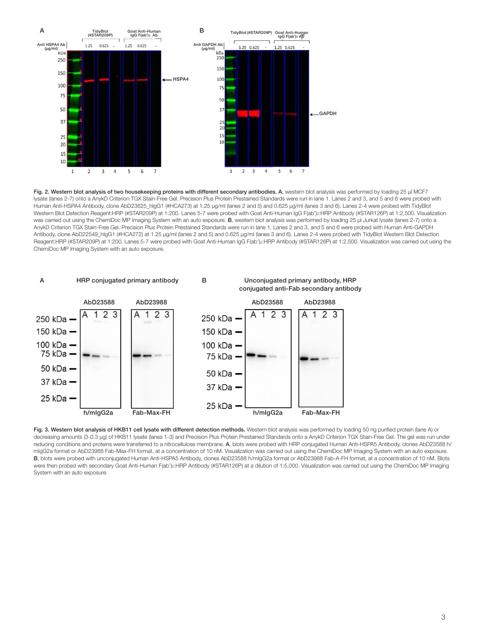

Fig. 2. Western blot analysis of two housekeeping proteins with different secondary antibodies. A, western blot analysis was performed by loading 25 µl MCF7 lysate (lanes 2-7) onto a AnykD Criterion TGX Stain-Free Gel. Precision Plus Protein Prestained Standards were run in lane 1. Lanes 2 and 3, and 5 and 6 were probed with Human Anti-HSPA4 Antibody, clone AbD23625\_hIgG1 (#HCA273) at 1.25 µg/ml (lanes 2 and 5) and 0.625 µg/ml (lanes 3 and 6). Lanes 2-4 were probed with TidyBlot Western Blot Detection Reagent:HRP (#STAR209P) at 1:200. Lanes 5-7 were probed with Goat Anti-Human IgG F(ab')<sub>2</sub>:HRP Antibody (#STAR126P) at 1:2,500. Visualization was carried out using the ChemiDoc MP Imaging System with an auto exposure. B, western blot analysis was performed by loading 25 µl Jurkat lysate (lanes 2-7) onto a AnykD Criterion TGX Stain-Free Gel. Precision Plus Protein Prestained Standards were run in lane 1. Lanes 2 and 3, and 5 and 6 were probed with Human Anti-GAPDH Antibody, clone AbD22549\_hIgG1 (#HCA272) at 1.25 µg/ml (lanes 2 and 5) and 0.625 µg/ml (lanes 3 and 6). Lanes 2-4 were probed with TidyBlot Western Blot Detection Reagent:HRP (#STAR209P) at 1:200. Lanes 5-7 were probed with Goat Anti-Human IgG F(ab')<sub>2</sub>:HRP Antibody (#STAR126P) at 1:2,500. Visualization was carried out using the ChemiDoc MP Imaging System with an auto exposure.



Fig. 3. Western blot analysis of HKB11 cell lysate with different detection methods. Western blot analysis was performed by loading 50 ng purified protein (lane A) or decreasing amounts (3-0.3 µg) of HKB11 lysate (lanes 1-3) and Precision Plus Protein Prestained Standards onto a AnykD Criterion TGX Stain-Free Gel. The gel was run under reducing conditions and proteins were transferred to a nitrocellulose membrane. A, blots were probed with HRP conjugated Human Anti-HSPA5 Antibody, clones AbD23588 h/ mIgG2a format or AbD23988 Fab-Max-FH format, at a concentration of 10 nM. Visualization was carried out using the ChemiDoc MP Imaging System with an auto exposure. B, blots were probed with unconjugated Human Anti-HSPA5 Antibody, clones AbD23588 h/mIgG2a format or AbD23988 Fab-A-FH format, at a concentration of 10 nM. Blots were then probed with secondary Goat Anti-Human F(ab')<sub>2</sub>:HRP Antibody (#STAR126P) at a dilution of 1:5,000. Visualization was carried out using the ChemiDoc MP Imaging System with an auto exposure.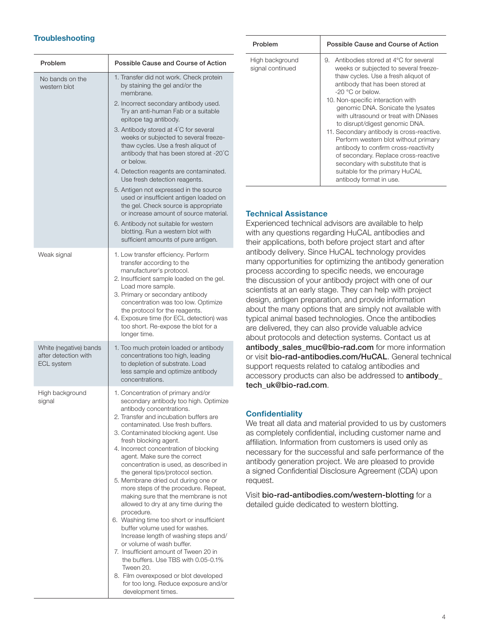# **Troubleshooting**

| Problem                                                             | Possible Cause and Course of Action                                                                                                                                                                                                                                                                                                                                                                                                                                                                                                                                                                                                                                                                                                                                                                                                                                                                                                                    |  |
|---------------------------------------------------------------------|--------------------------------------------------------------------------------------------------------------------------------------------------------------------------------------------------------------------------------------------------------------------------------------------------------------------------------------------------------------------------------------------------------------------------------------------------------------------------------------------------------------------------------------------------------------------------------------------------------------------------------------------------------------------------------------------------------------------------------------------------------------------------------------------------------------------------------------------------------------------------------------------------------------------------------------------------------|--|
| No bands on the<br>western blot                                     | 1. Transfer did not work. Check protein<br>by staining the gel and/or the<br>membrane.<br>2. Incorrect secondary antibody used.<br>Try an anti-human Fab or a suitable<br>epitope tag antibody.<br>3. Antibody stored at 4°C for several<br>weeks or subjected to several freeze-<br>thaw cycles. Use a fresh aliquot of<br>antibody that has been stored at -20°C<br>or below.<br>4. Detection reagents are contaminated.<br>Use fresh detection reagents.<br>5. Antigen not expressed in the source<br>used or insufficient antigen loaded on<br>the gel. Check source is appropriate<br>or increase amount of source material.<br>6. Antibody not suitable for western<br>blotting. Run a western blot with<br>sufficient amounts of pure antigen.                                                                                                                                                                                                  |  |
| Weak signal                                                         | 1. Low transfer efficiency. Perform<br>transfer according to the<br>manufacturer's protocol.<br>2. Insufficient sample loaded on the gel.<br>Load more sample.<br>3. Primary or secondary antibody<br>concentration was too low. Optimize<br>the protocol for the reagents.<br>4. Exposure time (for ECL detection) was<br>too short. Re-expose the blot for a<br>longer time.                                                                                                                                                                                                                                                                                                                                                                                                                                                                                                                                                                         |  |
| White (negative) bands<br>after detection with<br><b>ECL</b> system | 1. Too much protein loaded or antibody<br>concentrations too high, leading<br>to depletion of substrate. Load<br>less sample and optimize antibody<br>concentrations.                                                                                                                                                                                                                                                                                                                                                                                                                                                                                                                                                                                                                                                                                                                                                                                  |  |
| High background<br>signal                                           | 1. Concentration of primary and/or<br>secondary antibody too high. Optimize<br>antibody concentrations.<br>2. Transfer and incubation buffers are<br>contaminated. Use fresh buffers.<br>3. Contaminated blocking agent. Use<br>fresh blocking agent.<br>4. Incorrect concentration of blocking<br>agent. Make sure the correct<br>concentration is used, as described in<br>the general tips/protocol section.<br>5. Membrane dried out during one or<br>more steps of the procedure. Repeat,<br>making sure that the membrane is not<br>allowed to dry at any time during the<br>procedure.<br>6. Washing time too short or insufficient<br>buffer volume used for washes.<br>Increase length of washing steps and/<br>or volume of wash buffer.<br>7. Insufficient amount of Tween 20 in<br>the buffers. Use TBS with 0.05-0.1%<br>Tween 20.<br>8. Film overexposed or blot developed<br>for too long. Reduce exposure and/or<br>development times. |  |

| Problem                             | Possible Cause and Course of Action                                                                                                                                                                                                                                                                                                                                                                                                                                                                                                                                                                             |
|-------------------------------------|-----------------------------------------------------------------------------------------------------------------------------------------------------------------------------------------------------------------------------------------------------------------------------------------------------------------------------------------------------------------------------------------------------------------------------------------------------------------------------------------------------------------------------------------------------------------------------------------------------------------|
| High background<br>signal continued | Antibodies stored at 4°C for several<br>9.<br>weeks or subjected to several freeze-<br>thaw cycles. Use a fresh aliguot of<br>antibody that has been stored at<br>$-20$ °C or below.<br>10. Non-specific interaction with<br>genomic DNA. Sonicate the lysates<br>with ultrasound or treat with DNases<br>to disrupt/digest genomic DNA.<br>11. Secondary antibody is cross-reactive.<br>Perform western blot without primary<br>antibody to confirm cross-reactivity<br>of secondary. Replace cross-reactive<br>secondary with substitute that is<br>suitable for the primary HuCAL<br>antibody format in use. |

#### Technical Assistance

Experienced technical advisors are available to help with any questions regarding HuCAL antibodies and their applications, both before project start and after antibody delivery. Since HuCAL technology provides many opportunities for optimizing the antibody generation process according to specific needs, we encourage the discussion of your antibody project with one of our scientists at an early stage. They can help with project design, antigen preparation, and provide information about the many options that are simply not available with typical animal based technologies. Once the antibodies are delivered, they can also provide valuable advice about protocols and detection systems. Contact us at antibody sales muc@bio-rad.com for more information or visit bio-rad-antibodies.com/HuCAL. General technical support requests related to catalog antibodies and accessory products can also be addressed to antibody\_ tech\_uk@bio-rad.com.

## **Confidentiality**

We treat all data and material provided to us by customers as completely confidential, including customer name and affiliation. Information from customers is used only as necessary for the successful and safe performance of the antibody generation project. We are pleased to provide a signed Confidential Disclosure Agreement (CDA) upon request.

Visit bio-rad-antibodies.com/western-blotting for a detailed guide dedicated to western blotting.